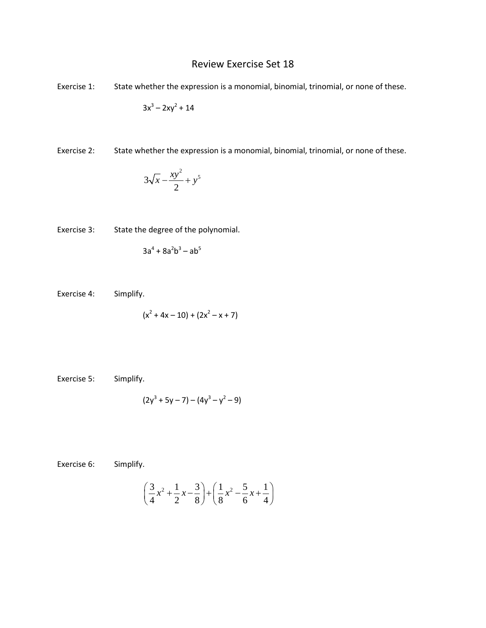## Review Exercise Set 18

Exercise 1: State whether the expression is a monomial, binomial, trinomial, or none of these.

$$
3x^3 - 2xy^2 + 14
$$

Exercise 2: State whether the expression is a monomial, binomial, trinomial, or none of these.

$$
3\sqrt{x} - \frac{xy^2}{2} + y^5
$$

Exercise 3: State the degree of the polynomial.

$$
3a^4 + 8a^2b^3 - ab^5
$$

Exercise 4: Simplify.

$$
(x2 + 4x - 10) + (2x2 - x + 7)
$$

Exercise 5: Simplify.

$$
(2y^3 + 5y - 7) - (4y^3 - y^2 - 9)
$$

Exercise 6: Simplify.

$$
\left(\frac{3}{4}x^2 + \frac{1}{2}x - \frac{3}{8}\right) + \left(\frac{1}{8}x^2 - \frac{5}{6}x + \frac{1}{4}\right)
$$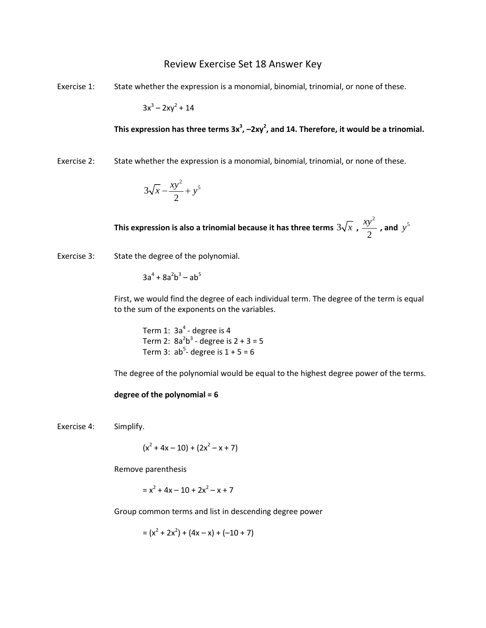## Review Exercise Set 18 Answer Key

Exercise 1: State whether the expression is a monomial, binomial, trinomial, or none of these.

 $3x^3 - 2xy^2 + 14$ 

This expression has three terms 3x<sup>3</sup>, -2xy<sup>2</sup>, and 14. Therefore, it would be a trinomial.

Exercise 2: State whether the expression is a monomial, binomial, trinomial, or none of these.

$$
3\sqrt{x} - \frac{xy^2}{2} + y^5
$$

**This expression is also a trinomial because it has three terms**  $3\sqrt{x}$  **,** 2 2  $\frac{xy^2}{2}$ , and  $y^5$ 

Exercise 3: State the degree of the polynomial.

 $3a^4 + 8a^2b^3 - ab^5$ 

First, we would find the degree of each individual term. The degree of the term is equal to the sum of the exponents on the variables.

Term 1:  $3a<sup>4</sup>$  - degree is 4 Term 2:  $8a^2b^3$  - degree is  $2 + 3 = 5$ Term 3:  $ab^5$ - degree is  $1 + 5 = 6$ 

The degree of the polynomial would be equal to the highest degree power of the terms.

## **degree of the polynomial = 6**

Exercise 4: Simplify.

$$
(x^2 + 4x - 10) + (2x^2 - x + 7)
$$

Remove parenthesis

$$
= x^2 + 4x - 10 + 2x^2 - x + 7
$$

Group common terms and list in descending degree power

$$
= (x2 + 2x2) + (4x - x) + (-10 + 7)
$$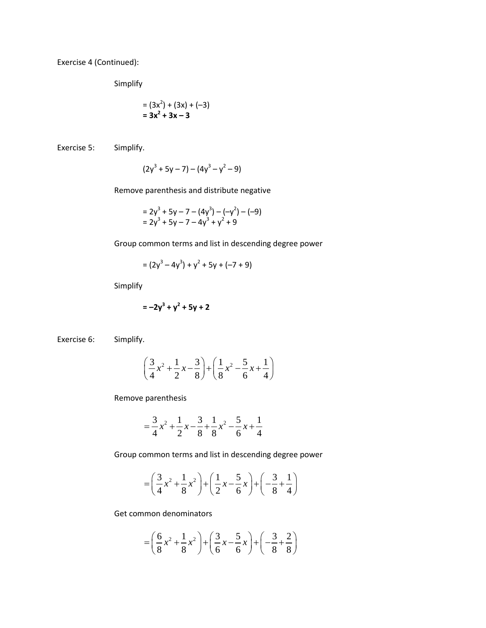Exercise 4 (Continued):

Simplify

$$
= (3x2) + (3x) + (-3)
$$
  
= 3x<sup>2</sup> + 3x - 3

Exercise 5: Simplify.

$$
(2y^3 + 5y - 7) - (4y^3 - y^2 - 9)
$$

Remove parenthesis and distribute negative

$$
= 2y3 + 5y - 7 - (4y3) - (-y2) - (-9)= 2y3 + 5y - 7 - 4y3 + y2 + 9
$$

Group common terms and list in descending degree power

$$
= (2y3 - 4y3) + y2 + 5y + (-7 + 9)
$$

Simplify

$$
= -2y^3 + y^2 + 5y + 2
$$

Exercise 6: Simplify.

$$
\left(\frac{3}{4}x^2 + \frac{1}{2}x - \frac{3}{8}\right) + \left(\frac{1}{8}x^2 - \frac{5}{6}x + \frac{1}{4}\right)
$$

Remove parenthesis

$$
=\frac{3}{4}x^2 + \frac{1}{2}x - \frac{3}{8} + \frac{1}{8}x^2 - \frac{5}{6}x + \frac{1}{4}
$$

Group common terms and list in descending degree power

$$
= \left(\frac{3}{4}x^2 + \frac{1}{8}x^2\right) + \left(\frac{1}{2}x - \frac{5}{6}x\right) + \left(-\frac{3}{8} + \frac{1}{4}\right)
$$

Get common denominators

$$
= \left(\frac{6}{8}x^2 + \frac{1}{8}x^2\right) + \left(\frac{3}{6}x - \frac{5}{6}x\right) + \left(-\frac{3}{8} + \frac{2}{8}\right)
$$